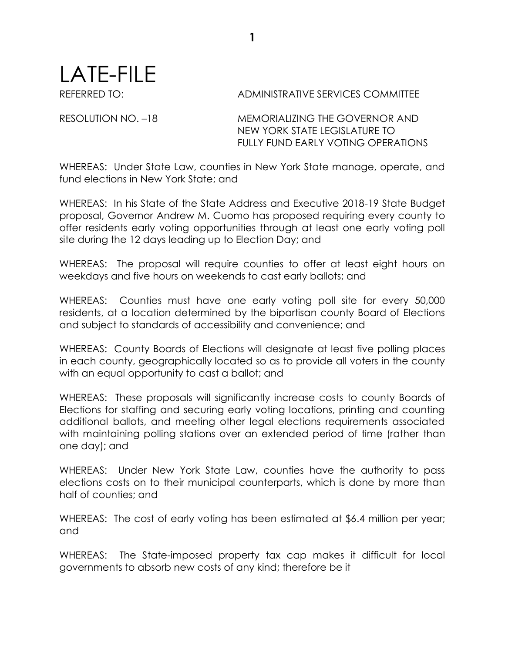## LATE-FILE

## REFERRED TO: ADMINISTRATIVE SERVICES COMMITTEE

RESOLUTION NO. –18 MEMORIALIZING THE GOVERNOR AND NEW YORK STATE LEGISLATURE TO FULLY FUND EARLY VOTING OPERATIONS

WHEREAS: Under State Law, counties in New York State manage, operate, and fund elections in New York State; and

WHEREAS: In his State of the State Address and Executive 2018-19 State Budget proposal, Governor Andrew M. Cuomo has proposed requiring every county to offer residents early voting opportunities through at least one early voting poll site during the 12 days leading up to Election Day; and

WHEREAS: The proposal will require counties to offer at least eight hours on weekdays and five hours on weekends to cast early ballots; and

WHEREAS: Counties must have one early voting poll site for every 50,000 residents, at a location determined by the bipartisan county Board of Elections and subject to standards of accessibility and convenience; and

WHEREAS: County Boards of Elections will designate at least five polling places in each county, geographically located so as to provide all voters in the county with an equal opportunity to cast a ballot; and

WHEREAS: These proposals will significantly increase costs to county Boards of Elections for staffing and securing early voting locations, printing and counting additional ballots, and meeting other legal elections requirements associated with maintaining polling stations over an extended period of time (rather than one day); and

WHEREAS: Under New York State Law, counties have the authority to pass elections costs on to their municipal counterparts, which is done by more than half of counties; and

WHEREAS: The cost of early voting has been estimated at \$6.4 million per year; and

WHEREAS: The State-imposed property tax cap makes it difficult for local governments to absorb new costs of any kind; therefore be it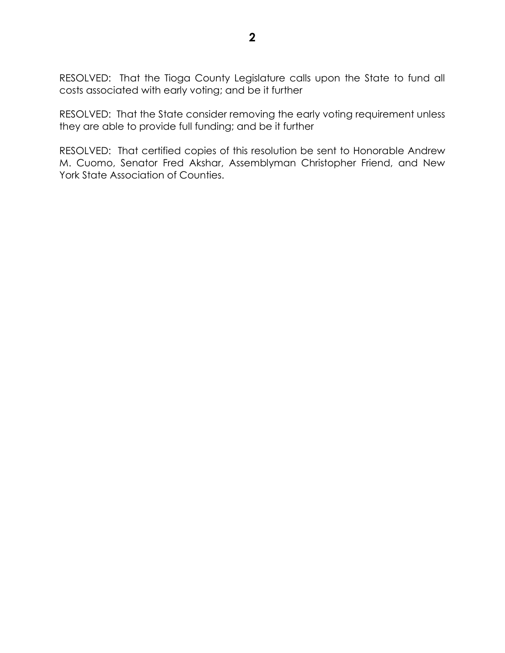RESOLVED: That the Tioga County Legislature calls upon the State to fund all costs associated with early voting; and be it further

RESOLVED: That the State consider removing the early voting requirement unless they are able to provide full funding; and be it further

RESOLVED: That certified copies of this resolution be sent to Honorable Andrew M. Cuomo, Senator Fred Akshar, Assemblyman Christopher Friend, and New York State Association of Counties.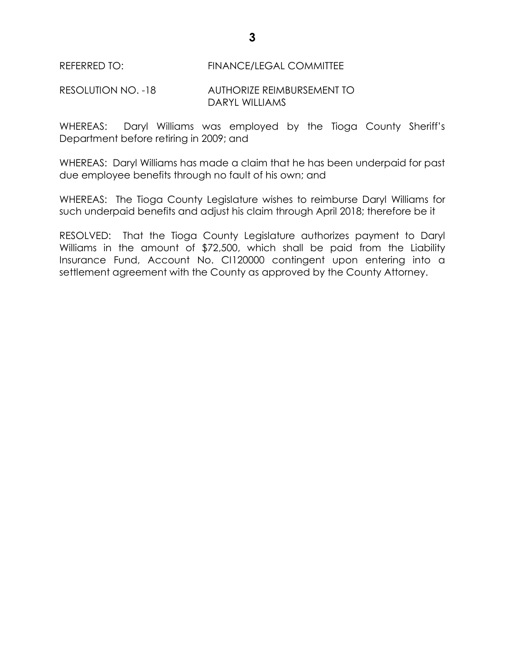REFERRED TO: FINANCE/LEGAL COMMITTEE

## RESOLUTION NO. -18 AUTHORIZE REIMBURSEMENT TO DARYL WILLIAMS

WHEREAS: Daryl Williams was employed by the Tioga County Sheriff's Department before retiring in 2009; and

WHEREAS: Daryl Williams has made a claim that he has been underpaid for past due employee benefits through no fault of his own; and

WHEREAS: The Tioga County Legislature wishes to reimburse Daryl Williams for such underpaid benefits and adjust his claim through April 2018; therefore be it

RESOLVED: That the Tioga County Legislature authorizes payment to Daryl Williams in the amount of \$72,500, which shall be paid from the Liability Insurance Fund, Account No. CI120000 contingent upon entering into a settlement agreement with the County as approved by the County Attorney.